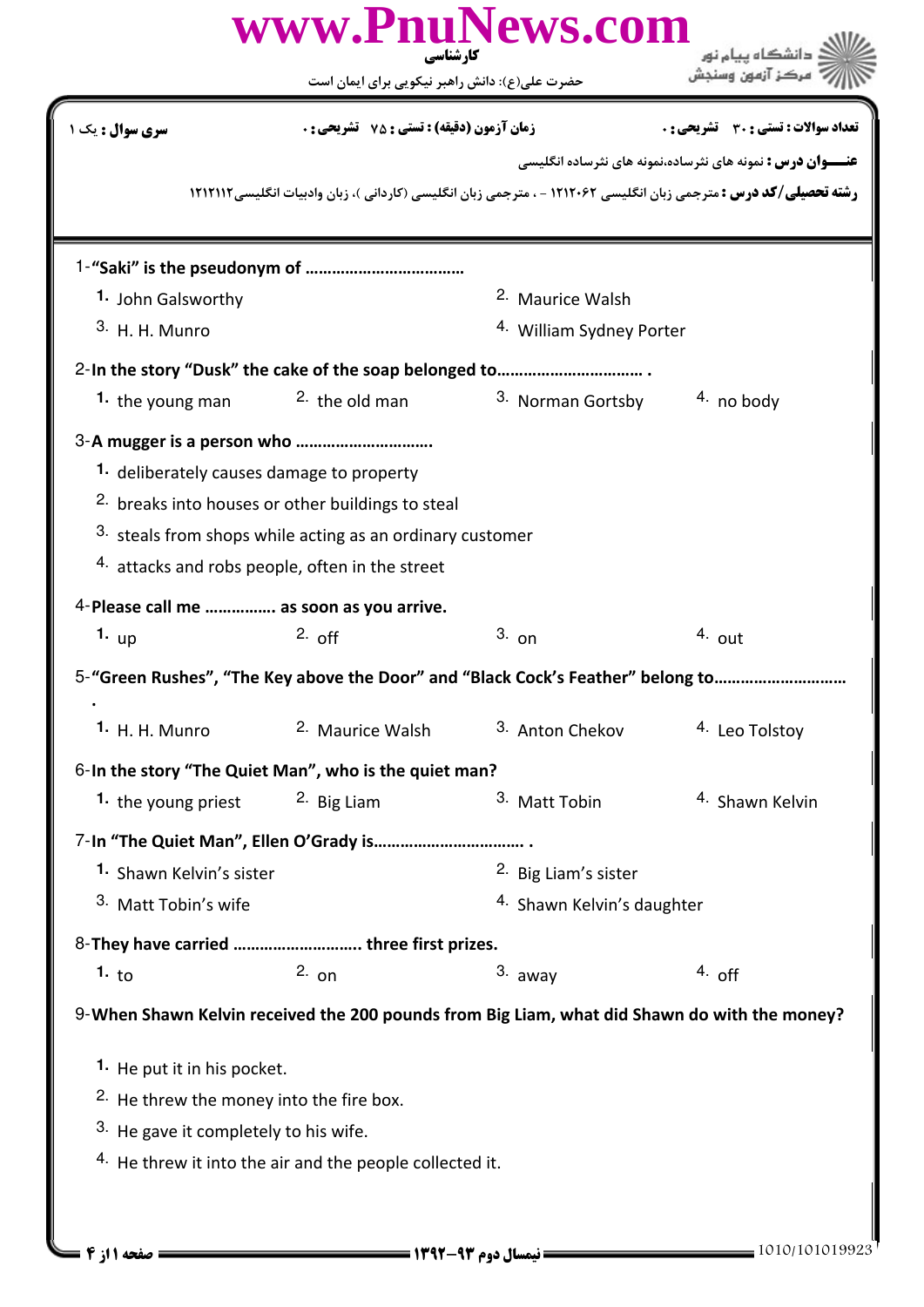|                                                     | کار شناسی<br>حضرت علی(ع): دانش راهبر نیکویی برای ایمان است                                                                                                                   | www.PnuNews.com                                                                                                          |                                                                   |
|-----------------------------------------------------|------------------------------------------------------------------------------------------------------------------------------------------------------------------------------|--------------------------------------------------------------------------------------------------------------------------|-------------------------------------------------------------------|
| <b>سری سوال :</b> یک ۱                              | <b>زمان آزمون (دقیقه) : تستی : 75 ٪ تشریحی : 0</b>                                                                                                                           |                                                                                                                          | <b>تعداد سوالات : تستي : 30 ٪ تشريحي : 0</b>                      |
|                                                     |                                                                                                                                                                              | <b>رشته تحصیلی/کد درس :</b> مترجمی زبان انگلیسی ۱۲۱۲۰۶۲ - ، مترجمی زبان انگلیسی (کاردانی )، زبان وادبیات انگلیسی ۱۲۱۲۱۱۲ | <b>عنـــوان درس :</b> نمونه های نثرساده،نمونه های نثرساده انگلیسی |
|                                                     |                                                                                                                                                                              |                                                                                                                          |                                                                   |
| 1. John Galsworthy                                  |                                                                                                                                                                              | <sup>2.</sup> Maurice Walsh                                                                                              |                                                                   |
| 3. H. H. Munro                                      |                                                                                                                                                                              | 4. William Sydney Porter                                                                                                 |                                                                   |
|                                                     |                                                                                                                                                                              |                                                                                                                          |                                                                   |
| 1. the young man                                    | $2.$ the old man                                                                                                                                                             | 3. Norman Gortsby                                                                                                        | $4.$ no body                                                      |
| 1. deliberately causes damage to property           | <sup>2.</sup> breaks into houses or other buildings to steal<br>3. steals from shops while acting as an ordinary customer<br>4. attacks and robs people, often in the street |                                                                                                                          |                                                                   |
| 4-Please call me  as soon as you arrive.            |                                                                                                                                                                              |                                                                                                                          |                                                                   |
| 1. $up$                                             | $2.$ off                                                                                                                                                                     | $3.$ on                                                                                                                  | $4.$ out                                                          |
|                                                     |                                                                                                                                                                              | 5-"Green Rushes", "The Key above the Door" and "Black Cock's Feather" belong to                                          |                                                                   |
| <b>1.</b> H. H. Munro                               | <sup>2.</sup> Maurice Walsh                                                                                                                                                  | 3. Anton Chekov                                                                                                          | 4. Leo Tolstoy                                                    |
|                                                     | 6-In the story "The Quiet Man", who is the quiet man?                                                                                                                        |                                                                                                                          |                                                                   |
| 1. the young priest                                 | <sup>2.</sup> Big Liam                                                                                                                                                       | 3. Matt Tobin                                                                                                            | <sup>4.</sup> Shawn Kelvin                                        |
|                                                     |                                                                                                                                                                              |                                                                                                                          |                                                                   |
| 1. Shawn Kelvin's sister                            |                                                                                                                                                                              | 2. Big Liam's sister                                                                                                     |                                                                   |
| 3. Matt Tobin's wife                                |                                                                                                                                                                              | <sup>4.</sup> Shawn Kelvin's daughter                                                                                    |                                                                   |
|                                                     | 8-They have carried  three first prizes.                                                                                                                                     |                                                                                                                          |                                                                   |
| 1. $\mathsf{to}$                                    | $2.$ on                                                                                                                                                                      | 3. away                                                                                                                  | $4.$ off                                                          |
|                                                     |                                                                                                                                                                              | 9-When Shawn Kelvin received the 200 pounds from Big Liam, what did Shawn do with the money?                             |                                                                   |
|                                                     |                                                                                                                                                                              |                                                                                                                          |                                                                   |
| 1. He put it in his pocket.                         |                                                                                                                                                                              |                                                                                                                          |                                                                   |
| <sup>2.</sup> He threw the money into the fire box. |                                                                                                                                                                              |                                                                                                                          |                                                                   |
| 3. He gave it completely to his wife.               |                                                                                                                                                                              |                                                                                                                          |                                                                   |
|                                                     | <sup>4.</sup> He threw it into the air and the people collected it.                                                                                                          |                                                                                                                          |                                                                   |
| صفحه 11; 4 =                                        |                                                                                                                                                                              |                                                                                                                          | 1010/101019923                                                    |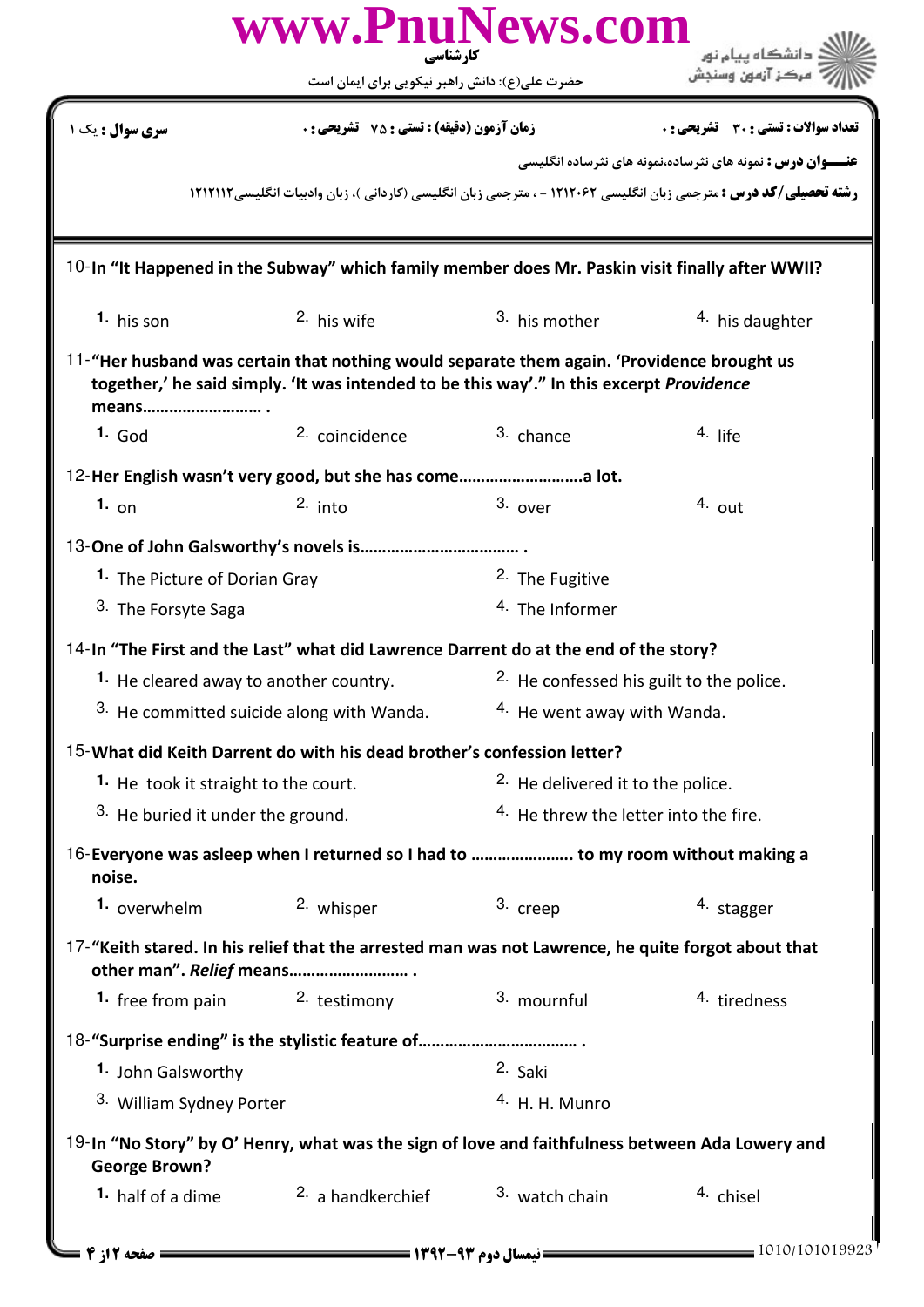|                                                 | www.PnuNews.com<br>کارشناسی                                                                                                                                                            |                                                    | دانشگاه يپام نور                                                                                                       |  |
|-------------------------------------------------|----------------------------------------------------------------------------------------------------------------------------------------------------------------------------------------|----------------------------------------------------|------------------------------------------------------------------------------------------------------------------------|--|
|                                                 | حضرت علی(ع): دانش راهبر نیکویی برای ایمان است                                                                                                                                          |                                                    |                                                                                                                        |  |
| <b>سری سوال :</b> یک ۱                          | <b>زمان آزمون (دقیقه) : تستی : 75 ٪ تشریحی : 0</b>                                                                                                                                     |                                                    | <b>تعداد سوالات : تستي : 30 ٪ تشريحي : 0</b>                                                                           |  |
|                                                 |                                                                                                                                                                                        |                                                    | <b>عنـــوان درس :</b> نمونه های نثرساده،نمونه های نثرساده انگلیسی                                                      |  |
|                                                 |                                                                                                                                                                                        |                                                    | <b>رشته تحصیلی/کد درس :</b> مترجمی زبان انگلیسی ۱۲۱۲۰۶۲ - ، مترجمی زبان انگلیسی (کاردانی )، زبان وادبیات انگلیسی۱۲۱۲۱۲ |  |
|                                                 | 10-In "It Happened in the Subway" which family member does Mr. Paskin visit finally after WWII?                                                                                        |                                                    |                                                                                                                        |  |
| 1. his son                                      | 2. his wife                                                                                                                                                                            | 3. his mother                                      | 4. his daughter                                                                                                        |  |
| means                                           | 11-"Her husband was certain that nothing would separate them again. 'Providence brought us<br>together,' he said simply. 'It was intended to be this way'." In this excerpt Providence |                                                    |                                                                                                                        |  |
| 1. God                                          | <sup>2.</sup> coincidence                                                                                                                                                              | 3. chance                                          | $4.$ life                                                                                                              |  |
|                                                 | 12-Her English wasn't very good, but she has comea lot.                                                                                                                                |                                                    |                                                                                                                        |  |
| 1. $_{on}$                                      | $2.$ into                                                                                                                                                                              | 3. over                                            | $4.$ out                                                                                                               |  |
|                                                 |                                                                                                                                                                                        |                                                    |                                                                                                                        |  |
| 1. The Picture of Dorian Gray                   |                                                                                                                                                                                        | <sup>2</sup> The Fugitive                          |                                                                                                                        |  |
| <sup>3.</sup> The Forsyte Saga                  |                                                                                                                                                                                        | <sup>4.</sup> The Informer                         |                                                                                                                        |  |
|                                                 | 14-In "The First and the Last" what did Lawrence Darrent do at the end of the story?                                                                                                   |                                                    |                                                                                                                        |  |
| 1. He cleared away to another country.          |                                                                                                                                                                                        | <sup>2</sup> He confessed his guilt to the police. |                                                                                                                        |  |
|                                                 | 3. He committed suicide along with Wanda.                                                                                                                                              |                                                    | <sup>4.</sup> He went away with Wanda.                                                                                 |  |
|                                                 | 15-What did Keith Darrent do with his dead brother's confession letter?                                                                                                                |                                                    |                                                                                                                        |  |
| <sup>1.</sup> He took it straight to the court. |                                                                                                                                                                                        | <sup>2.</sup> He delivered it to the police.       |                                                                                                                        |  |
|                                                 | 3. He buried it under the ground.                                                                                                                                                      |                                                    | <sup>4.</sup> He threw the letter into the fire.                                                                       |  |
| noise.                                          | 16-Everyone was asleep when I returned so I had to  to my room without making a                                                                                                        |                                                    |                                                                                                                        |  |
| 1. overwhelm                                    | 2. whisper                                                                                                                                                                             | 3. creep                                           | 4. stagger                                                                                                             |  |
| other man". Relief means                        | 17-"Keith stared. In his relief that the arrested man was not Lawrence, he quite forgot about that                                                                                     |                                                    |                                                                                                                        |  |
| 1. free from pain $2.$ testimony                |                                                                                                                                                                                        | 3. mournful                                        | 4. tiredness                                                                                                           |  |
|                                                 |                                                                                                                                                                                        |                                                    |                                                                                                                        |  |
| 1. John Galsworthy                              |                                                                                                                                                                                        | 2. Saki                                            |                                                                                                                        |  |
| 3. William Sydney Porter                        |                                                                                                                                                                                        | $4. H. H. M$ unro                                  |                                                                                                                        |  |
| <b>George Brown?</b>                            | 19-In "No Story" by O' Henry, what was the sign of love and faithfulness between Ada Lowery and                                                                                        |                                                    |                                                                                                                        |  |
| 1. half of a dime                               | <sup>2</sup> a handkerchief                                                                                                                                                            | 3. watch chain                                     | 4. chisel                                                                                                              |  |
| ــــ صفحه 12ز 4 ــا                             |                                                                                                                                                                                        |                                                    | 1010/101019923                                                                                                         |  |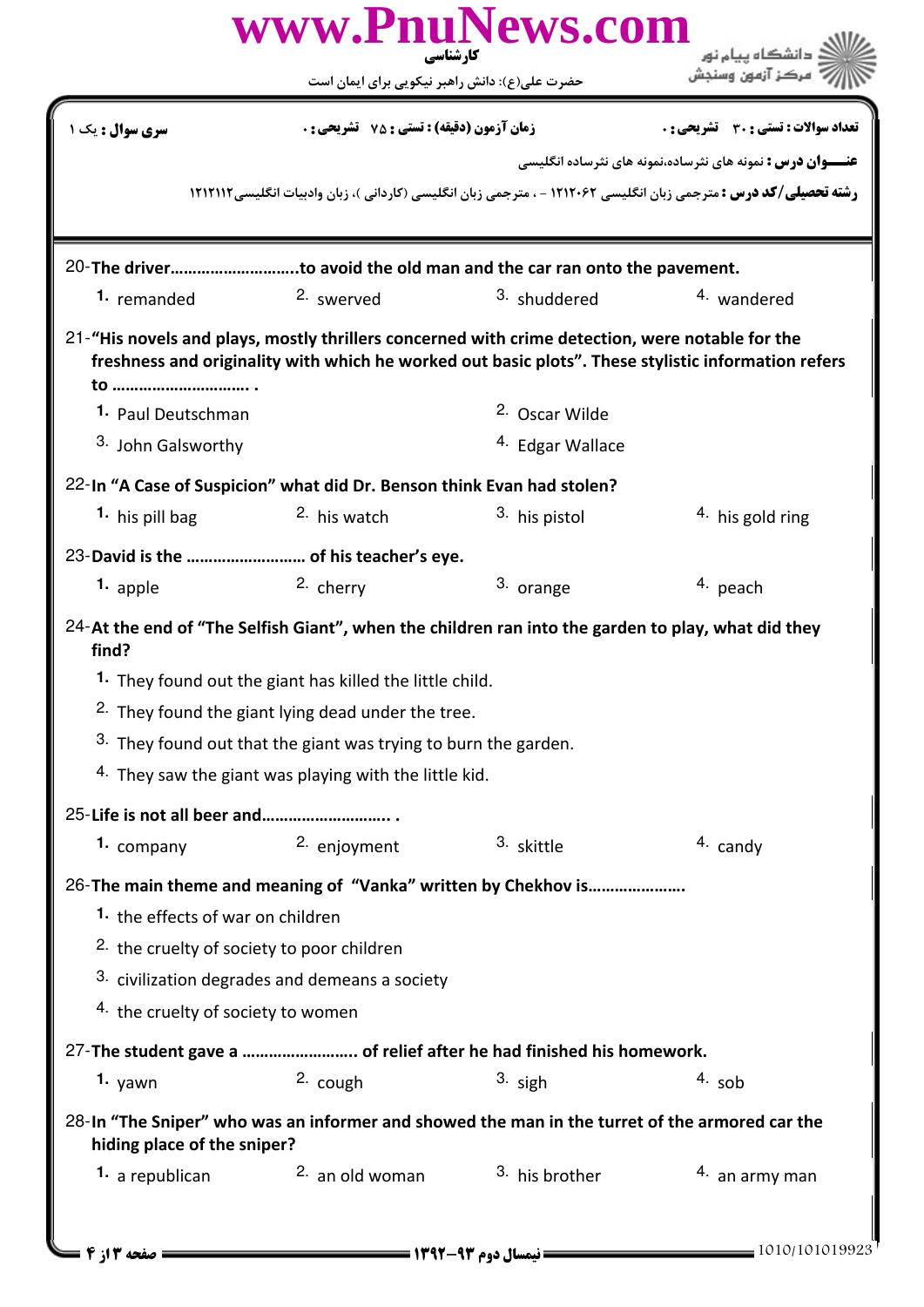|                                                                                                                               | www.PnuNews.com<br>کارشناسی                                                                     |                             |                                                                                                                          |  |  |
|-------------------------------------------------------------------------------------------------------------------------------|-------------------------------------------------------------------------------------------------|-----------------------------|--------------------------------------------------------------------------------------------------------------------------|--|--|
|                                                                                                                               | حضرت علی(ع): دانش راهبر نیکویی برای ایمان است                                                   |                             |                                                                                                                          |  |  |
| <b>سری سوال :</b> یک ۱                                                                                                        | <b>زمان آزمون (دقیقه) : تستی : 75 ٪ تشریحی : 0</b>                                              |                             | تعداد سوالات : تستي : 30 ٪ تشريحي : 0                                                                                    |  |  |
|                                                                                                                               |                                                                                                 |                             | <b>عنـــوان درس :</b> نمونه های نثرساده،نمونه های نثرساده انگلیسی                                                        |  |  |
|                                                                                                                               |                                                                                                 |                             | <b>رشته تحصیلی/کد درس :</b> مترجمی زبان انگلیسی ۱۲۱۲۰۶۲ - ، مترجمی زبان انگلیسی (کاردانی )، زبان وادبیات انگلیسی ۱۲۱۲۱۱۲ |  |  |
|                                                                                                                               | 20-The driverto avoid the old man and the car ran onto the pavement.                            |                             |                                                                                                                          |  |  |
| 1. remanded                                                                                                                   | 2. swerved                                                                                      | 3. shuddered                | 4. wandered                                                                                                              |  |  |
|                                                                                                                               | 21-"His novels and plays, mostly thrillers concerned with crime detection, were notable for the |                             | freshness and originality with which he worked out basic plots". These stylistic information refers                      |  |  |
| 1. Paul Deutschman                                                                                                            |                                                                                                 | 2. Oscar Wilde              |                                                                                                                          |  |  |
| 3. John Galsworthy                                                                                                            |                                                                                                 | <sup>4.</sup> Edgar Wallace |                                                                                                                          |  |  |
| 22-In "A Case of Suspicion" what did Dr. Benson think Evan had stolen?                                                        |                                                                                                 |                             |                                                                                                                          |  |  |
| 1. his pill bag                                                                                                               | <sup>2</sup> his watch                                                                          | 3. his pistol               | 4. his gold ring                                                                                                         |  |  |
|                                                                                                                               | 23-David is the  of his teacher's eye.                                                          |                             |                                                                                                                          |  |  |
| 1. apple                                                                                                                      | 2. cherry                                                                                       | 3. orange                   | $4.$ peach                                                                                                               |  |  |
| 24-At the end of "The Selfish Giant", when the children ran into the garden to play, what did they<br>find?                   |                                                                                                 |                             |                                                                                                                          |  |  |
|                                                                                                                               | <sup>1.</sup> They found out the giant has killed the little child.                             |                             |                                                                                                                          |  |  |
|                                                                                                                               | <sup>2.</sup> They found the giant lying dead under the tree.                                   |                             |                                                                                                                          |  |  |
|                                                                                                                               | <sup>3.</sup> They found out that the giant was trying to burn the garden.                      |                             |                                                                                                                          |  |  |
|                                                                                                                               | <sup>4.</sup> They saw the giant was playing with the little kid.                               |                             |                                                                                                                          |  |  |
| 25-Life is not all beer and                                                                                                   |                                                                                                 |                             |                                                                                                                          |  |  |
| 1. company                                                                                                                    | 2. enjoyment                                                                                    | 3. skittle                  | 4. candy                                                                                                                 |  |  |
|                                                                                                                               | 26-The main theme and meaning of "Vanka" written by Chekhov is                                  |                             |                                                                                                                          |  |  |
| 1. the effects of war on children                                                                                             |                                                                                                 |                             |                                                                                                                          |  |  |
| <sup>2.</sup> the cruelty of society to poor children                                                                         |                                                                                                 |                             |                                                                                                                          |  |  |
|                                                                                                                               | 3. civilization degrades and demeans a society                                                  |                             |                                                                                                                          |  |  |
| 4. the cruelty of society to women                                                                                            |                                                                                                 |                             |                                                                                                                          |  |  |
|                                                                                                                               | 27-The student gave a  of relief after he had finished his homework.                            |                             |                                                                                                                          |  |  |
| 1. $yawn$                                                                                                                     | 2. cough                                                                                        | $3.$ sigh                   | $4.$ sob                                                                                                                 |  |  |
| 28-In "The Sniper" who was an informer and showed the man in the turret of the armored car the<br>hiding place of the sniper? |                                                                                                 |                             |                                                                                                                          |  |  |
| 1. a republican                                                                                                               | <sup>2.</sup> an old woman                                                                      | 3. his brother              | $4.$ an army man                                                                                                         |  |  |
| <b>= صفحه ۱۳; 4 ـــ</b>                                                                                                       |                                                                                                 |                             | $= 1010/101019923$                                                                                                       |  |  |